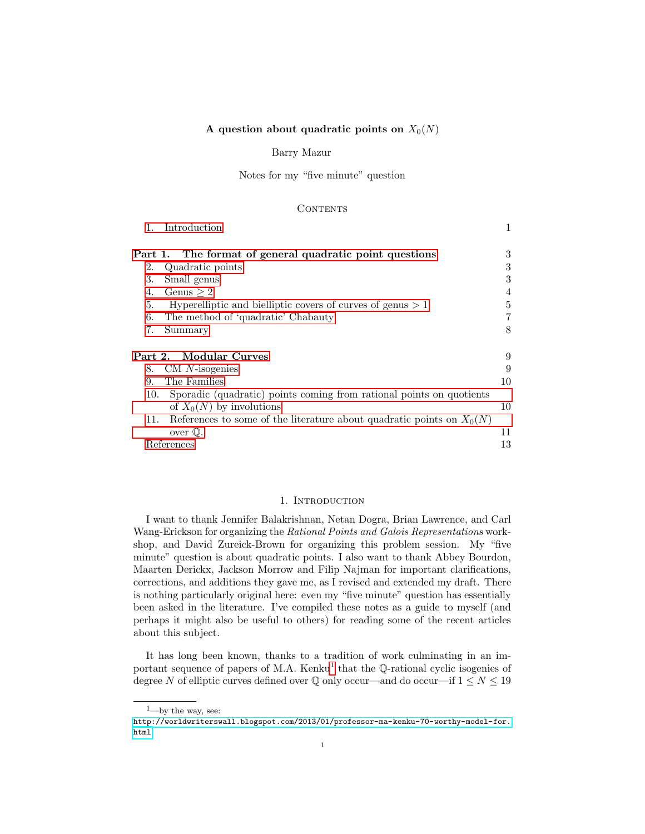# A question about quadratic points on  $X_0(N)$

#### Barry Mazur

Notes for my "five minute" question

#### **CONTENTS**

| 1.      | Introduction                                                            | 1              |
|---------|-------------------------------------------------------------------------|----------------|
| Part 1. | The format of general quadratic point questions                         | 3              |
| 2.      | Quadratic points                                                        | 3              |
| 3.      | Small genus                                                             | 3              |
| 4.      | Genus $\geq 2$                                                          | 4              |
| 5.      | Hyperelliptic and bielliptic covers of curves of genus $> 1$            | 5              |
| 6.      | The method of 'quadratic' Chabauty                                      | $\overline{7}$ |
| 7.      | Summary                                                                 | 8              |
|         | Part 2. Modular Curves                                                  | 9              |
| 8.      | $CM$ <i>N</i> -isogenies                                                | 9              |
| 9.      | The Families                                                            | 10             |
| 10.     | Sporadic (quadratic) points coming from rational points on quotients    |                |
|         | of $X_0(N)$ by involutions                                              | 10             |
| 11.     | References to some of the literature about quadratic points on $X_0(N)$ |                |
|         | over $\mathbb{Q}$ .                                                     | 11             |
|         | References                                                              | 13             |

#### 1. INTRODUCTION

<span id="page-0-0"></span>I want to thank Jennifer Balakrishnan, Netan Dogra, Brian Lawrence, and Carl Wang-Erickson for organizing the Rational Points and Galois Representations workshop, and David Zureick-Brown for organizing this problem session. My "five minute" question is about quadratic points. I also want to thank Abbey Bourdon, Maarten Derickx, Jackson Morrow and Filip Najman for important clarifications, corrections, and additions they gave me, as I revised and extended my draft. There is nothing particularly original here: even my "five minute" question has essentially been asked in the literature. I've compiled these notes as a guide to myself (and perhaps it might also be useful to others) for reading some of the recent articles about this subject.

It has long been known, thanks to a tradition of work culminating in an im-portant sequence of papers of M.A. Kenku<sup>[1](#page-0-1)</sup> that the Q-rational cyclic isogenies of degree N of elliptic curves defined over  $\mathbb Q$  only occur—and do occur—if  $1 \leq N \leq 19$ 

<span id="page-0-1"></span> $1$ —by the way, see:

[http://worldwriterswall.blogspot.com/2013/01/professor-ma-kenku-70-worthy-model-for.](http://worldwriterswall.blogspot.com/2013/01/professor-ma-kenku-70-worthy-model-for.html) [html](http://worldwriterswall.blogspot.com/2013/01/professor-ma-kenku-70-worthy-model-for.html)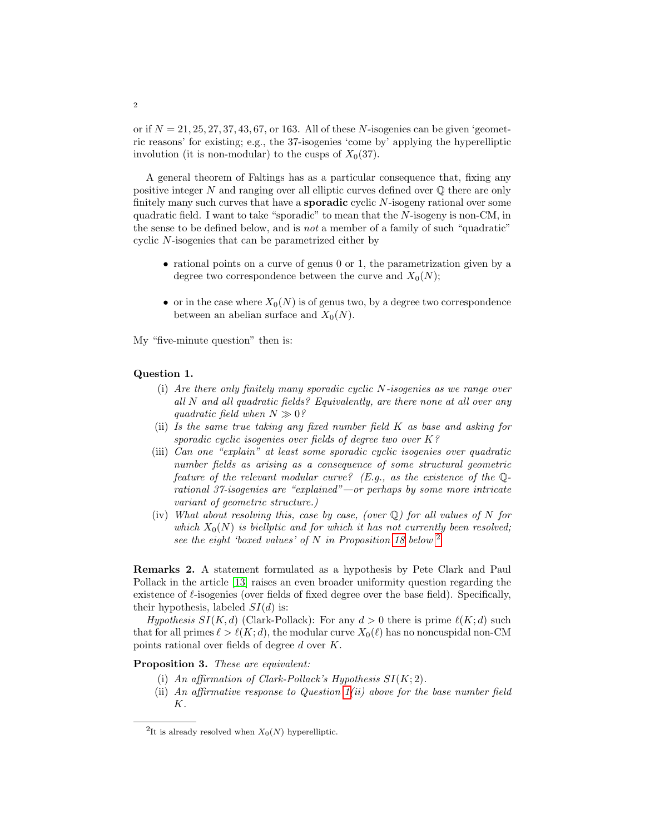or if  $N = 21, 25, 27, 37, 43, 67$ , or 163. All of these N-isogenies can be given 'geometric reasons' for existing; e.g., the 37-isogenies 'come by' applying the hyperelliptic involution (it is non-modular) to the cusps of  $X_0(37)$ .

A general theorem of Faltings has as a particular consequence that, fixing any positive integer  $N$  and ranging over all elliptic curves defined over  $\mathbb Q$  there are only finitely many such curves that have a **sporadic** cyclic N-isogeny rational over some quadratic field. I want to take "sporadic" to mean that the  $N$ -isogeny is non-CM, in the sense to be defined below, and is not a member of a family of such "quadratic" cyclic N-isogenies that can be parametrized either by

- rational points on a curve of genus 0 or 1, the parametrization given by a degree two correspondence between the curve and  $X_0(N)$ ;
- or in the case where  $X_0(N)$  is of genus two, by a degree two correspondence between an abelian surface and  $X_0(N)$ .

My "five-minute question" then is:

#### <span id="page-1-1"></span>Question 1.

- (i) Are there only finitely many sporadic cyclic N-isogenies as we range over all N and all quadratic fields? Equivalently, are there none at all over any quadratic field when  $N \gg 0$ ?
- (ii) Is the same true taking any fixed number field K as base and asking for sporadic cyclic isogenies over fields of degree two over K?
- (iii) Can one "explain" at least some sporadic cyclic isogenies over quadratic number fields as arising as a consequence of some structural geometric feature of the relevant modular curve? (E.g., as the existence of the  $\mathbb{Q}$ rational 37-isogenies are "explained"—or perhaps by some more intricate variant of geometric structure.)
- (iv) What about resolving this, case by case, (over  $\mathbb Q$ ) for all values of N for which  $X_0(N)$  is biellptic and for which it has not currently been resolved; see the eight 'boxed values' of N in Proposition [18](#page-11-0) below  $2$

Remarks 2. A statement formulated as a hypothesis by Pete Clark and Paul Pollack in the article [\[13\]](#page-13-0) raises an even broader uniformity question regarding the existence of  $\ell$ -isogenies (over fields of fixed degree over the base field). Specifically, their hypothesis, labeled  $SI(d)$  is:

Hypothesis  $SI(K, d)$  (Clark-Pollack): For any  $d > 0$  there is prime  $\ell(K; d)$  such that for all primes  $\ell > \ell(K; d)$ , the modular curve  $X_0(\ell)$  has no noncuspidal non-CM points rational over fields of degree d over K.

Proposition 3. These are equivalent:

- (i) An affirmation of Clark-Pollack's Hypothesis  $SI(K; 2)$ .
- (ii) An affirmative response to Question  $1(ii)$  above for the base number field K.

<span id="page-1-0"></span><sup>&</sup>lt;sup>2</sup>It is already resolved when  $X_0(N)$  hyperelliptic.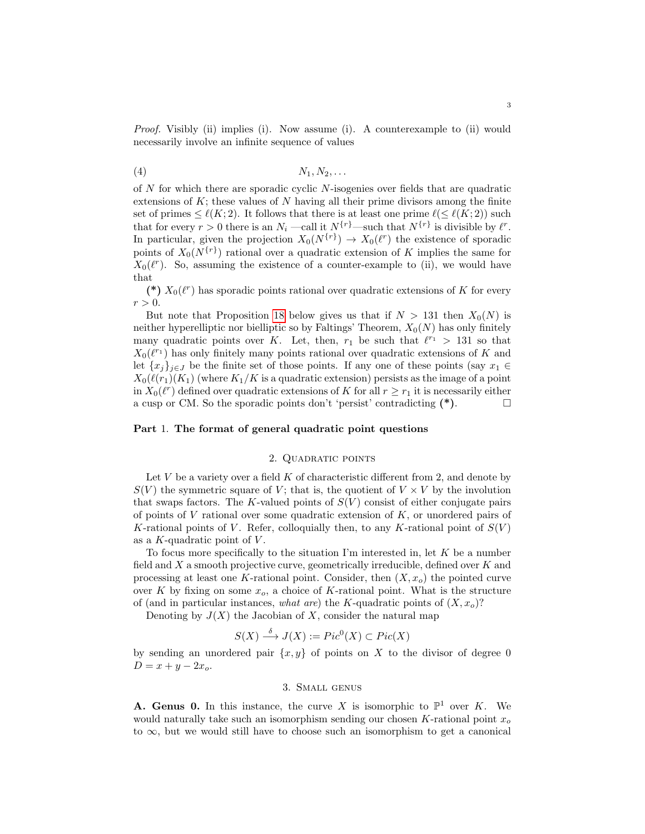Proof. Visibly (ii) implies (i). Now assume (i). A counterexample to (ii) would necessarily involve an infinite sequence of values

$$
(4) \t\t\t N_1, N_2, \ldots
$$

of N for which there are sporadic cyclic N-isogenies over fields that are quadratic extensions of  $K$ ; these values of  $N$  having all their prime divisors among the finite set of primes  $\leq \ell(K; 2)$ . It follows that there is at least one prime  $\ell(\leq \ell(K; 2))$  such that for every  $r > 0$  there is an  $N_i$  —call it  $N^{\{r\}}$ —such that  $N^{\{r\}}$  is divisible by  $\ell^r$ . In particular, given the projection  $X_0(N^{\{r\}}) \to X_0(\ell^r)$  the existence of sporadic points of  $X_0(N^{\{r\}})$  rational over a quadratic extension of K implies the same for  $X_0(\ell^r)$ . So, assuming the existence of a counter-example to (ii), we would have that

(\*)  $X_0(\ell^r)$  has sporadic points rational over quadratic extensions of K for every  $r > 0$ .

But note that Proposition [18](#page-11-0) below gives us that if  $N > 131$  then  $X_0(N)$  is neither hyperelliptic nor bielliptic so by Faltings' Theorem,  $X_0(N)$  has only finitely many quadratic points over K. Let, then,  $r_1$  be such that  $\ell^{r_1} > 131$  so that  $X_0(\ell^{r_1})$  has only finitely many points rational over quadratic extensions of K and let  $\{x_i\}_{i\in J}$  be the finite set of those points. If any one of these points (say  $x_1 \in$  $X_0(\ell(r_1)(K_1))$  (where  $K_1/K$  is a quadratic extension) persists as the image of a point in  $X_0(\ell^r)$  defined over quadratic extensions of K for all  $r \geq r_1$  it is necessarily either a cusp or CM. So the sporadic points don't 'persist' contradicting  $(*)$ .

### <span id="page-2-0"></span>Part 1. The format of general quadratic point questions

#### 2. QUADRATIC POINTS

<span id="page-2-1"></span>Let  $V$  be a variety over a field  $K$  of characteristic different from 2, and denote by  $S(V)$  the symmetric square of V; that is, the quotient of  $V \times V$  by the involution that swaps factors. The K-valued points of  $S(V)$  consist of either conjugate pairs of points of  $V$  rational over some quadratic extension of  $K$ , or unordered pairs of K-rational points of V. Refer, colloquially then, to any K-rational point of  $S(V)$ as a  $K$ -quadratic point of  $V$ .

To focus more specifically to the situation I'm interested in, let  $K$  be a number field and  $X$  a smooth projective curve, geometrically irreducible, defined over  $K$  and processing at least one K-rational point. Consider, then  $(X, x<sub>o</sub>)$  the pointed curve over K by fixing on some  $x_o$ , a choice of K-rational point. What is the structure of (and in particular instances, what are) the K-quadratic points of  $(X, x_o)$ ?

Denoting by  $J(X)$  the Jacobian of X, consider the natural map

$$
S(X) \xrightarrow{\delta} J(X) := Pic^0(X) \subset Pic(X)
$$

by sending an unordered pair  $\{x, y\}$  of points on X to the divisor of degree 0  $D = x + y - 2x_o.$ 

### 3. Small genus

<span id="page-2-2"></span>**A. Genus 0.** In this instance, the curve X is isomorphic to  $\mathbb{P}^1$  over K. We would naturally take such an isomorphism sending our chosen K-rational point  $x<sub>o</sub>$ to  $\infty$ , but we would still have to choose such an isomorphism to get a canonical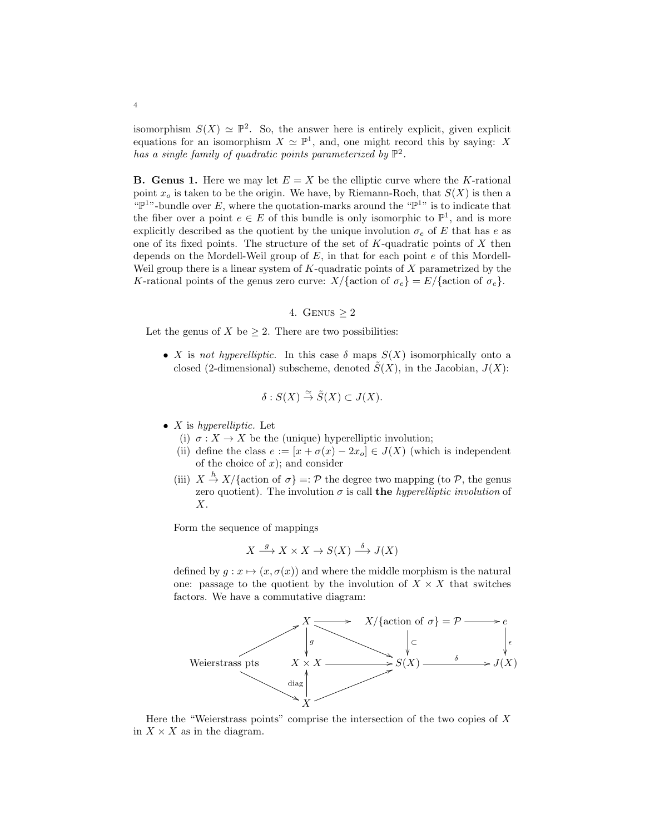isomorphism  $S(X) \simeq \mathbb{P}^2$ . So, the answer here is entirely explicit, given explicit equations for an isomorphism  $X \simeq \mathbb{P}^1$ , and, one might record this by saying: X has a single family of quadratic points parameterized by  $\mathbb{P}^2$ .

**B.** Genus 1. Here we may let  $E = X$  be the elliptic curve where the K-rational point  $x<sub>o</sub>$  is taken to be the origin. We have, by Riemann-Roch, that  $S(X)$  is then a " $\mathbb{P}^{1}$ "-bundle over E, where the quotation-marks around the " $\mathbb{P}^{1}$ " is to indicate that the fiber over a point  $e \in E$  of this bundle is only isomorphic to  $\mathbb{P}^1$ , and is more explicitly described as the quotient by the unique involution  $\sigma_e$  of E that has e as one of its fixed points. The structure of the set of  $K$ -quadratic points of  $X$  then depends on the Mordell-Weil group of  $E$ , in that for each point  $e$  of this Mordell-Weil group there is a linear system of  $K$ -quadratic points of  $X$  parametrized by the K-rational points of the genus zero curve:  $X/\{\text{action of } \sigma_e\} = E/\{\text{action of } \sigma_e\}.$ 

4. GENUS 
$$
\geq 2
$$

<span id="page-3-0"></span>Let the genus of X be  $\geq 2$ . There are two possibilities:

• X is not hyperelliptic. In this case  $\delta$  maps  $S(X)$  isomorphically onto a closed (2-dimensional) subscheme, denoted  $\tilde{S}(X)$ , in the Jacobian,  $J(X)$ :

$$
\delta: S(X) \stackrel{\simeq}{\to} \tilde{S}(X) \subset J(X).
$$

- $X$  is hyperelliptic. Let
	- (i)  $\sigma: X \to X$  be the (unique) hyperelliptic involution;
	- (ii) define the class  $e := [x + \sigma(x) 2x_0] \in J(X)$  (which is independent of the choice of  $x$ ); and consider
	- (iii)  $X \stackrel{h}{\rightarrow} X/\{\text{action of } \sigma\} =: \mathcal{P}$  the degree two mapping (to  $\mathcal{P}$ , the genus zero quotient). The involution  $\sigma$  is call the *hyperelliptic involution* of X.

Form the sequence of mappings

$$
X \xrightarrow{g} X \times X \to S(X) \xrightarrow{\delta} J(X)
$$

defined by  $g: x \mapsto (x, \sigma(x))$  and where the middle morphism is the natural one: passage to the quotient by the involution of  $X \times X$  that switches factors. We have a commutative diagram:



Here the "Weierstrass points" comprise the intersection of the two copies of  $X$ in  $X \times X$  as in the diagram.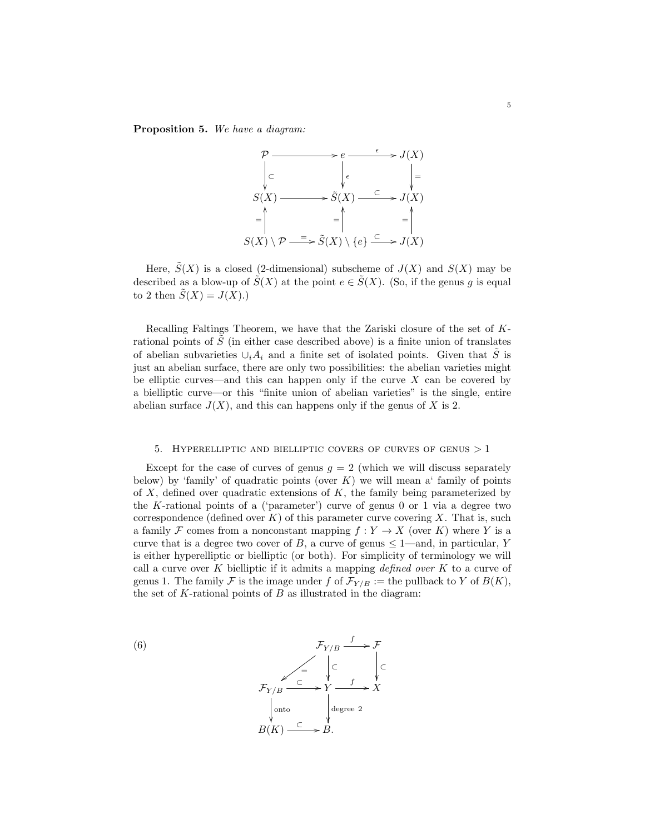### Proposition 5. We have a diagram:



Here,  $\tilde{S}(X)$  is a closed (2-dimensional) subscheme of  $J(X)$  and  $S(X)$  may be described as a blow-up of  $\tilde{S}(X)$  at the point  $e \in \tilde{S}(X)$ . (So, if the genus g is equal to 2 then  $\tilde{S}(X) = J(X)$ .

Recalling Faltings Theorem, we have that the Zariski closure of the set of Krational points of  $S$  (in either case described above) is a finite union of translates of abelian subvarieties  $\cup_i A_i$  and a finite set of isolated points. Given that  $\tilde{S}$  is just an abelian surface, there are only two possibilities: the abelian varieties might be elliptic curves—and this can happen only if the curve  $X$  can be covered by a bielliptic curve—or this "finite union of abelian varieties" is the single, entire abelian surface  $J(X)$ , and this can happens only if the genus of X is 2.

#### 5. HYPERELLIPTIC AND BIELLIPTIC COVERS OF CURVES OF GENUS  $>1$

<span id="page-4-0"></span>Except for the case of curves of genus  $g = 2$  (which we will discuss separately below) by 'family' of quadratic points (over  $K$ ) we will mean a' family of points of  $X$ , defined over quadratic extensions of  $K$ , the family being parameterized by the K-rational points of a ('parameter') curve of genus 0 or 1 via a degree two correspondence (defined over  $K$ ) of this parameter curve covering X. That is, such a family F comes from a nonconstant mapping  $f: Y \to X$  (over K) where Y is a curve that is a degree two cover of B, a curve of genus  $\leq$  1—and, in particular, Y is either hyperelliptic or bielliptic (or both). For simplicity of terminology we will call a curve over K bielliptic if it admits a mapping defined over K to a curve of genus 1. The family F is the image under f of  $\mathcal{F}_{Y/B} :=$  the pullback to Y of  $B(K)$ , the set of  $K$ -rational points of  $B$  as illustrated in the diagram:

<span id="page-4-1"></span>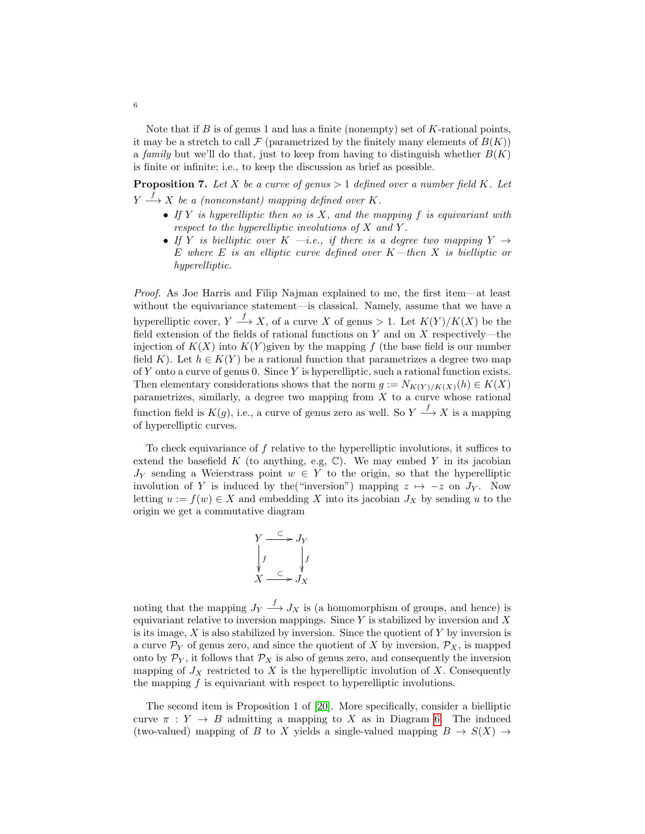Note that if  $B$  is of genus 1 and has a finite (nonempty) set of  $K$ -rational points, it may be a stretch to call  $\mathcal F$  (parametrized by the finitely many elements of  $B(K)$ ) a family but we'll do that, just to keep from having to distinguish whether  $B(K)$ is finite or infinite; i.e., to keep the discussion as brief as possible.

**Proposition 7.** Let X be a curve of genus  $> 1$  defined over a number field K. Let  $Y \stackrel{f}{\longrightarrow} X$  be a (nonconstant) mapping defined over K.

- If Y is hyperelliptic then so is X, and the mapping f is equivariant with respect to the hyperelliptic involutions of X and Y .
- If Y is bielliptic over K —i.e., if there is a degree two mapping Y  $\rightarrow$ E where E is an elliptic curve defined over  $K$ —then X is bielliptic or hyperelliptic.

Proof. As Joe Harris and Filip Najman explained to me, the first item—at least without the equivariance statement—is classical. Namely, assume that we have a hyperelliptic cover,  $Y \stackrel{f}{\longrightarrow} X$ , of a curve X of genus > 1. Let  $K(Y)/K(X)$  be the field extension of the fields of rational functions on Y and on X respectively—the injection of  $K(X)$  into  $K(Y)$  given by the mapping f (the base field is our number field K). Let  $h \in K(Y)$  be a rational function that parametrizes a degree two map of Y onto a curve of genus 0. Since Y is hyperelliptic, such a rational function exists. Then elementary considerations shows that the norm  $g := N_{K(Y)/K(X)}(h) \in K(X)$ parametrizes, similarly, a degree two mapping from  $\overline{X}$  to a curve whose rational function field is  $K(g)$ , i.e., a curve of genus zero as well. So  $Y \stackrel{f}{\longrightarrow} X$  is a mapping of hyperelliptic curves.

To check equivariance of  $f$  relative to the hyperelliptic involutions, it suffices to extend the basefield K (to anything, e.g,  $\mathbb{C}$ ). We may embed Y in its jacobian  $J_Y$  sending a Weierstrass point  $w \in Y$  to the origin, so that the hyperelliptic involution of Y is induced by the "inversion") mapping  $z \mapsto -z$  on  $J_y$ . Now letting  $u := f(w) \in X$  and embedding X into its jacobian  $J_X$  by sending u to the origin we get a commutative diagram

$$
\begin{array}{ccc}\nY & \stackrel{\subset}{\longrightarrow} & J_Y \\
\downarrow f & & \downarrow f \\
X & \stackrel{\subset}{\longrightarrow} & J_X\n\end{array}
$$

noting that the mapping  $J_Y \stackrel{f}{\longrightarrow} J_X$  is (a homomorphism of groups, and hence) is equivariant relative to inversion mappings. Since  $Y$  is stabilized by inversion and  $X$ is its image,  $X$  is also stabilized by inversion. Since the quotient of  $Y$  by inversion is a curve  $\mathcal{P}_Y$  of genus zero, and since the quotient of X by inversion,  $\mathcal{P}_X$ , is mapped onto by  $\mathcal{P}_Y$ , it follows that  $\mathcal{P}_X$  is also of genus zero, and consequently the inversion mapping of  $J_X$  restricted to X is the hyperelliptic involution of X. Consequently the mapping  $f$  is equivariant with respect to hyperelliptic involutions.

The second item is Proposition 1 of [\[20\]](#page-13-1). More specifically, consider a bielliptic curve  $\pi : Y \to B$  admitting a mapping to X as in Diagram [6.](#page-4-1) The induced (two-valued) mapping of B to X yields a single-valued mapping  $B \to S(X) \to$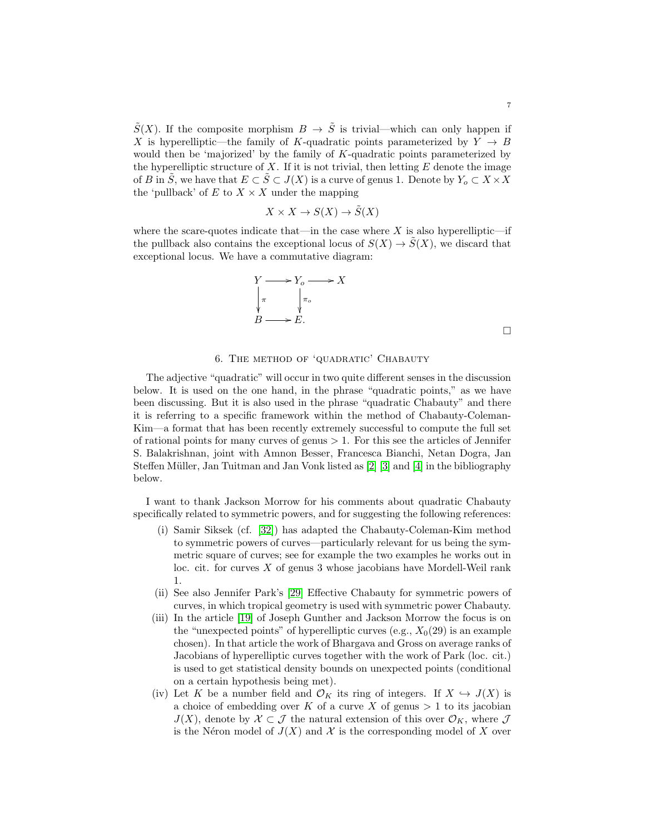$\tilde{S}(X)$ . If the composite morphism  $B \to \tilde{S}$  is trivial—which can only happen if X is hyperelliptic—the family of K-quadratic points parameterized by  $Y \rightarrow B$ would then be 'majorized' by the family of  $K$ -quadratic points parameterized by the hyperelliptic structure of  $X$ . If it is not trivial, then letting  $E$  denote the image of B in  $\tilde{S}$ , we have that  $E \subset \tilde{S} \subset J(X)$  is a curve of genus 1. Denote by  $Y_o \subset X \times X$ the 'pullback' of  $E$  to  $X\times X$  under the mapping

$$
X \times X \to S(X) \to \tilde{S}(X)
$$

where the scare-quotes indicate that—in the case where  $X$  is also hyperelliptic—if the pullback also contains the exceptional locus of  $S(X) \to S(X)$ , we discard that exceptional locus. We have a commutative diagram:

$$
Y \longrightarrow Y_o \longrightarrow X
$$
  
\n
$$
\downarrow \pi
$$
  
\n
$$
B \longrightarrow E.
$$

### 6. The method of 'quadratic' Chabauty

<span id="page-6-0"></span>The adjective "quadratic" will occur in two quite different senses in the discussion below. It is used on the one hand, in the phrase "quadratic points," as we have been discussing. But it is also used in the phrase "quadratic Chabauty" and there it is referring to a specific framework within the method of Chabauty-Coleman-Kim—a format that has been recently extremely successful to compute the full set of rational points for many curves of genus  $> 1$ . For this see the articles of Jennifer S. Balakrishnan, joint with Amnon Besser, Francesca Bianchi, Netan Dogra, Jan Steffen Müller, Jan Tuitman and Jan Vonk listed as  $[2]$  [\[3\]](#page-12-2) and [\[4\]](#page-12-3) in the bibliography below.

I want to thank Jackson Morrow for his comments about quadratic Chabauty specifically related to symmetric powers, and for suggesting the following references:

- (i) Samir Siksek (cf. [\[32\]](#page-13-2)) has adapted the Chabauty-Coleman-Kim method to symmetric powers of curves—particularly relevant for us being the symmetric square of curves; see for example the two examples he works out in loc. cit. for curves  $X$  of genus 3 whose jacobians have Mordell-Weil rank 1.
- (ii) See also Jennifer Park's [\[29\]](#page-13-3) Effective Chabauty for symmetric powers of curves, in which tropical geometry is used with symmetric power Chabauty.
- (iii) In the article [\[19\]](#page-13-4) of Joseph Gunther and Jackson Morrow the focus is on the "unexpected points" of hyperelliptic curves (e.g.,  $X_0(29)$  is an example chosen). In that article the work of Bhargava and Gross on average ranks of Jacobians of hyperelliptic curves together with the work of Park (loc. cit.) is used to get statistical density bounds on unexpected points (conditional on a certain hypothesis being met).
- (iv) Let K be a number field and  $\mathcal{O}_K$  its ring of integers. If  $X \hookrightarrow J(X)$  is a choice of embedding over  $K$  of a curve  $X$  of genus  $> 1$  to its jacobian  $J(X)$ , denote by  $\mathcal{X} \subset \mathcal{J}$  the natural extension of this over  $\mathcal{O}_K$ , where  $\mathcal{J}$ is the Néron model of  $J(X)$  and X is the corresponding model of X over

 $\Box$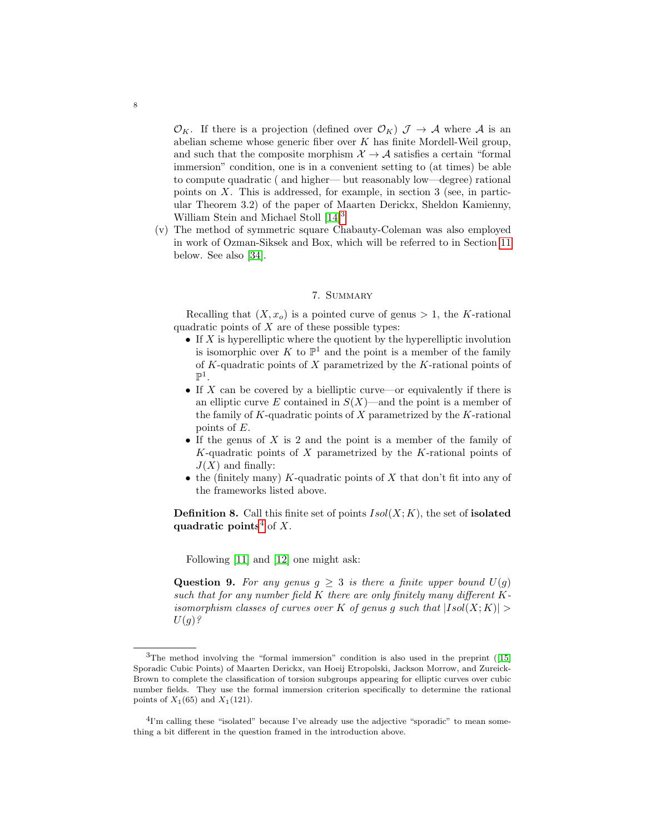$\mathcal{O}_K$ . If there is a projection (defined over  $\mathcal{O}_K$ )  $\mathcal{J} \to \mathcal{A}$  where  $\mathcal{A}$  is an abelian scheme whose generic fiber over  $K$  has finite Mordell-Weil group, and such that the composite morphism  $\mathcal{X} \rightarrow \mathcal{A}$  satisfies a certain "formal immersion" condition, one is in a convenient setting to (at times) be able to compute quadratic ( and higher— but reasonably low—degree) rational points on  $X$ . This is addressed, for example, in section 3 (see, in particular Theorem 3.2) of the paper of Maarten Derickx, Sheldon Kamienny, William Stein and Michael Stoll [\[14\]](#page-13-5)<sup>[3](#page-7-1)</sup>

(v) The method of symmetric square Chabauty-Coleman was also employed in work of Ozman-Siksek and Box, which will be referred to in Section [11](#page-10-0) below. See also [\[34\]](#page-13-6).

# 7. Summary

<span id="page-7-0"></span>Recalling that  $(X, x_0)$  is a pointed curve of genus  $> 1$ , the K-rational quadratic points of  $X$  are of these possible types:

- If  $X$  is hyperelliptic where the quotient by the hyperelliptic involution is isomorphic over K to  $\mathbb{P}^1$  and the point is a member of the family of K-quadratic points of  $X$  parametrized by the K-rational points of  $\mathbb{P}^1$ .
- If X can be covered by a bielliptic curve—or equivalently if there is an elliptic curve E contained in  $S(X)$ —and the point is a member of the family of  $K$ -quadratic points of  $X$  parametrized by the  $K$ -rational points of E.
- If the genus of  $X$  is 2 and the point is a member of the family of  $K$ -quadratic points of X parametrized by the K-rational points of  $J(X)$  and finally:
- the (finitely many) K-quadratic points of X that don't fit into any of the frameworks listed above.

**Definition 8.** Call this finite set of points  $Isol(X; K)$ , the set of **isolated** quadratic points<sup>[4](#page-7-2)</sup> of X.

Following [\[11\]](#page-13-7) and [\[12\]](#page-13-8) one might ask:

**Question 9.** For any genus  $g \geq 3$  is there a finite upper bound  $U(g)$ such that for any number field  $K$  there are only finitely many different  $K$ isomorphism classes of curves over K of genus g such that  $|Isol(X;K)| >$  $U(g)$ ?

<span id="page-7-1"></span><sup>&</sup>lt;sup>3</sup>The method involving the "formal immersion" condition is also used in the preprint ([\[15\]](#page-13-9) Sporadic Cubic Points) of Maarten Derickx, van Hoeij Etropolski, Jackson Morrow, and Zureick-Brown to complete the classification of torsion subgroups appearing for elliptic curves over cubic number fields. They use the formal immersion criterion specifically to determine the rational points of  $X_1(65)$  and  $X_1(121)$ .

<span id="page-7-2"></span><sup>&</sup>lt;sup>4</sup>I'm calling these "isolated" because I've already use the adjective "sporadic" to mean something a bit different in the question framed in the introduction above.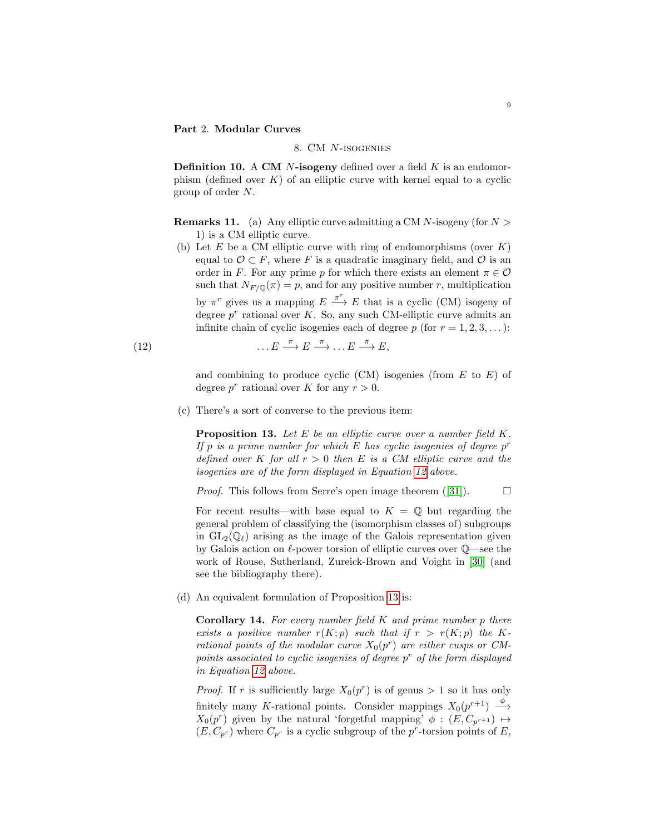## <span id="page-8-1"></span><span id="page-8-0"></span>Part 2. Modular Curves

## 8. CM N-isogenies

**Definition 10.** A CM  $N$ -isogeny defined over a field  $K$  is an endomorphism (defined over  $K$ ) of an elliptic curve with kernel equal to a cyclic group of order N.

**Remarks 11.** (a) Any elliptic curve admitting a CM N-isogeny (for  $N >$ 1) is a CM elliptic curve.

(b) Let E be a CM elliptic curve with ring of endomorphisms (over  $K$ ) equal to  $\mathcal{O} \subset F$ , where F is a quadratic imaginary field, and  $\mathcal{O}$  is an order in F. For any prime p for which there exists an element  $\pi \in \mathcal{O}$ such that  $N_{F/\mathbb{Q}}(\pi) = p$ , and for any positive number r, multiplication by  $\pi^r$  gives us a mapping  $E \stackrel{\pi^r}{\longrightarrow} E$  that is a cyclic (CM) isogeny of degree  $p^r$  rational over K. So, any such CM-elliptic curve admits an infinite chain of cyclic isogenies each of degree p (for  $r = 1, 2, 3, \ldots$ ):

(12) 
$$
\dots E \stackrel{\pi}{\longrightarrow} E \stackrel{\pi}{\longrightarrow} \dots E \stackrel{\pi}{\longrightarrow} E,
$$

<span id="page-8-2"></span>and combining to produce cyclic  $(CM)$  isogenies (from  $E$  to  $E$ ) of degree  $p^r$  rational over K for any  $r > 0$ .

(c) There's a sort of converse to the previous item:

<span id="page-8-3"></span>**Proposition 13.** Let  $E$  be an elliptic curve over a number field  $K$ . If p is a prime number for which  $E$  has cyclic isogenies of degree  $p^r$ defined over K for all  $r > 0$  then E is a CM elliptic curve and the isogenies are of the form displayed in Equation [12](#page-8-2) above.

*Proof.* This follows from Serre's open image theorem ([\[31\]](#page-13-10)).  $\Box$ 

For recent results—with base equal to  $K = \mathbb{Q}$  but regarding the general problem of classifying the (isomorphism classes of) subgroups in  $GL_2(\mathbb{Q}_\ell)$  arising as the image of the Galois representation given by Galois action on  $\ell$ -power torsion of elliptic curves over  $\mathbb{Q}$ —see the work of Rouse, Sutherland, Zureick-Brown and Voight in [\[30\]](#page-13-11) (and see the bibliography there).

(d) An equivalent formulation of Proposition [13](#page-8-3) is:

**Corollary 14.** For every number field  $K$  and prime number  $p$  there exists a positive number  $r(K; p)$  such that if  $r > r(K; p)$  the Krational points of the modular curve  $X_0(p^r)$  are either cusps or CMpoints associated to cyclic isogenies of degree  $p^r$  of the form displayed in Equation [12](#page-8-2) above.

*Proof.* If r is sufficiently large  $X_0(p^r)$  is of genus > 1 so it has only finitely many K-rational points. Consider mappings  $X_0(p^{r+1}) \longrightarrow$  $X_0(p^r)$  given by the natural 'forgetful mapping'  $\phi : (E, C_{p^{r+1}}) \mapsto$  $(E, C_{p^r})$  where  $C_{p^r}$  is a cyclic subgroup of the p<sup>r</sup>-torsion points of E,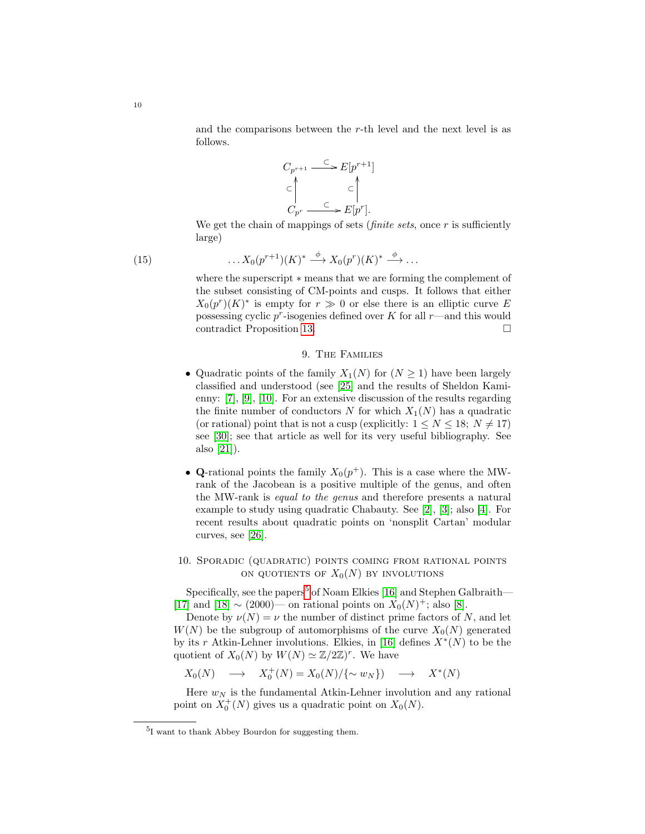and the comparisons between the r-th level and the next level is as follows.



We get the chain of mappings of sets (*finite sets*, once  $r$  is sufficiently large)

$$
\ldots X_0(p^{r+1})(K)^* \stackrel{\phi}{\longrightarrow} X_0(p^r)(K)^* \stackrel{\phi}{\longrightarrow} \ldots
$$

where the superscript ∗ means that we are forming the complement of the subset consisting of CM-points and cusps. It follows that either  $X_0(p^r)(K)^*$  is empty for  $r \gg 0$  or else there is an elliptic curve E possessing cyclic  $p^r$ -isogenies defined over K for all  $r$ —and this would contradict Proposition [13.](#page-8-3)

## 9. The Families

- <span id="page-9-0"></span>• Quadratic points of the family  $X_1(N)$  for  $(N \geq 1)$  have been largely classified and understood (see [\[25\]](#page-13-12) and the results of Sheldon Kamienny: [\[7\]](#page-12-4), [\[9\]](#page-13-13), [\[10\]](#page-13-14). For an extensive discussion of the results regarding the finite number of conductors N for which  $X_1(N)$  has a quadratic (or rational) point that is not a cusp (explicitly:  $1 \le N \le 18$ ;  $N \ne 17$ ) see [\[30\]](#page-13-11); see that article as well for its very useful bibliography. See also [\[21\]](#page-13-15)).
- Q-rational points the family  $X_0(p^+)$ . This is a case where the MWrank of the Jacobean is a positive multiple of the genus, and often the MW-rank is equal to the genus and therefore presents a natural example to study using quadratic Chabauty. See [\[2\]](#page-12-1), [\[3\]](#page-12-2); also [\[4\]](#page-12-3). For recent results about quadratic points on 'nonsplit Cartan' modular curves, see [\[26\]](#page-13-16).

# <span id="page-9-1"></span>10. Sporadic (quadratic) points coming from rational points ON QUOTIENTS OF  $X_0(N)$  by INVOLUTIONS

Specifically, see the papers<sup>[5](#page-9-2)</sup> of Noam Elkies [\[16\]](#page-13-17) and Stephen Galbraith— [\[17\]](#page-13-18) and [\[18\]](#page-13-19)  $\sim$  (2000)— on rational points on  $X_0(N)^+$ ; also [\[8\]](#page-13-20).

Denote by  $\nu(N) = \nu$  the number of distinct prime factors of N, and let  $W(N)$  be the subgroup of automorphisms of the curve  $X_0(N)$  generated by its r Atkin-Lehner involutions. Elkies, in [\[16\]](#page-13-17) defines  $X^*(N)$  to be the quotient of  $X_0(N)$  by  $W(N) \simeq \mathbb{Z}/2\mathbb{Z})^r$ . We have

$$
X_0(N) \quad \longrightarrow \quad X_0^+(N) = X_0(N)/\{\sim w_N\}) \quad \longrightarrow \quad X^*(N)
$$

Here  $w_N$  is the fundamental Atkin-Lehner involution and any rational point on  $X_0^+(N)$  gives us a quadratic point on  $X_0(N)$ .

10

 $(15)$ 

<span id="page-9-2"></span><sup>5</sup> I want to thank Abbey Bourdon for suggesting them.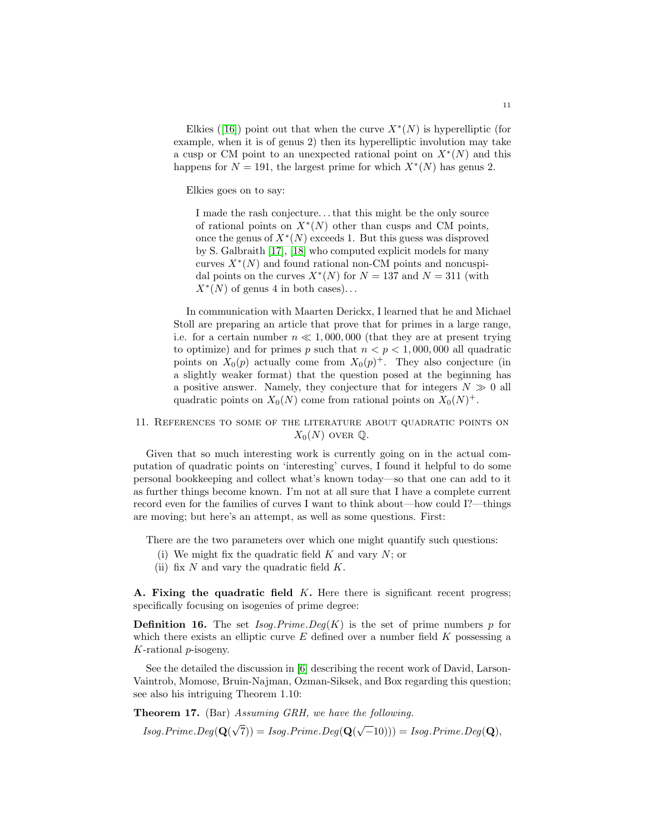Elkies ([\[16\]](#page-13-17)) point out that when the curve  $X^*(N)$  is hyperelliptic (for example, when it is of genus 2) then its hyperelliptic involution may take a cusp or CM point to an unexpected rational point on  $X^*(N)$  and this happens for  $N = 191$ , the largest prime for which  $X^*(N)$  has genus 2.

Elkies goes on to say:

I made the rash conjecture. . .that this might be the only source of rational points on  $X^*(N)$  other than cusps and CM points, once the genus of  $X^*(N)$  exceeds 1. But this guess was disproved by S. Galbraith [\[17\]](#page-13-18), [\[18\]](#page-13-19) who computed explicit models for many curves  $X^*(N)$  and found rational non-CM points and noncuspidal points on the curves  $X^*(N)$  for  $N = 137$  and  $N = 311$  (with  $X^*(N)$  of genus 4 in both cases)...

In communication with Maarten Derickx, I learned that he and Michael Stoll are preparing an article that prove that for primes in a large range, i.e. for a certain number  $n \ll 1,000,000$  (that they are at present trying to optimize) and for primes p such that  $n < p < 1,000,000$  all quadratic points on  $X_0(p)$  actually come from  $X_0(p)^+$ . They also conjecture (in a slightly weaker format) that the question posed at the beginning has a positive answer. Namely, they conjecture that for integers  $N \gg 0$  all quadratic points on  $X_0(N)$  come from rational points on  $X_0(N)^+$ .

# <span id="page-10-0"></span>11. References to some of the literature about quadratic points on  $X_0(N)$  over  $\mathbb Q$ .

Given that so much interesting work is currently going on in the actual computation of quadratic points on 'interesting' curves, I found it helpful to do some personal bookkeeping and collect what's known today—so that one can add to it as further things become known. I'm not at all sure that I have a complete current record even for the families of curves I want to think about—how could I?—things are moving; but here's an attempt, as well as some questions. First:

There are the two parameters over which one might quantify such questions:

- (i) We might fix the quadratic field  $K$  and vary  $N$ ; or
- (ii) fix  $N$  and vary the quadratic field  $K$ .

A. Fixing the quadratic field  $K$ . Here there is significant recent progress; specifically focusing on isogenies of prime degree:

**Definition 16.** The set  $Isog.Prime.Deg(K)$  is the set of prime numbers p for which there exists an elliptic curve  $E$  defined over a number field  $K$  possessing a K-rational p-isogeny.

See the detailed the discussion in [\[6\]](#page-12-5) describing the recent work of David, Larson-Vaintrob, Momose, Bruin-Najman, Ozman-Siksek, and Box regarding this question; see also his intriguing Theorem 1.10:

Theorem 17. (Bar) Assuming GRH, we have the following.

*Isog.Prime.Deg*( $\mathbf{Q}$ ( √  $(7)) = Isog.Prime. Deg(Q)$ √  $\overline{-}10))$ ) = Isog.Prime.Deg(**Q**),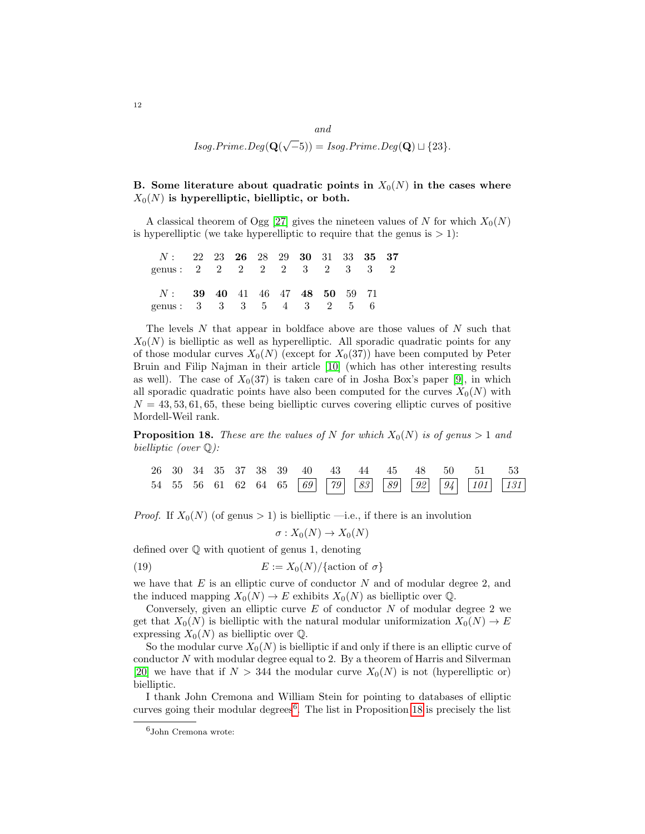and  $Isog.Prime.Deg(Q)$ √  $(-5)) = Isog.Prime. Deg(\mathbf{Q}) \sqcup \{23\}.$ 

# B. Some literature about quadratic points in  $X_0(N)$  in the cases where  $X_0(N)$  is hyperelliptic, bielliptic, or both.

A classical theorem of Ogg [\[27\]](#page-13-21) gives the nineteen values of N for which  $X_0(N)$ is hyperelliptic (we take hyperelliptic to require that the genus is  $> 1$ ):

| $N:$ 22 23 26 28 29 30 31 33 35 37             |  |  |  |  |  |
|------------------------------------------------|--|--|--|--|--|
| genus: $2 \t2 \t2 \t2 \t2 \t3 \t3 \t3 \t3 \t2$ |  |  |  |  |  |
| $N:$ 39 40 41 46 47 48 50 59 71                |  |  |  |  |  |
| genus: 3 3 3 5 4 3 2 5 6                       |  |  |  |  |  |

The levels  $N$  that appear in boldface above are those values of  $N$  such that  $X_0(N)$  is bielliptic as well as hyperelliptic. All sporadic quadratic points for any of those modular curves  $X_0(N)$  (except for  $X_0(37)$ ) have been computed by Peter Bruin and Filip Najman in their article [\[10\]](#page-13-14) (which has other interesting results as well). The case of  $X_0(37)$  is taken care of in Josha Box's paper [\[9\]](#page-13-13), in which all sporadic quadratic points have also been computed for the curves  $X_0(N)$  with  $N = 43, 53, 61, 65$ , these being bielliptic curves covering elliptic curves of positive Mordell-Weil rank.

<span id="page-11-0"></span>**Proposition 18.** These are the values of N for which  $X_0(N)$  is of genus  $> 1$  and bielliptic (over Q):

|  |  |  |  |  |  | 26 30 34 35 37 38 39 40 43 44 45 48 50 51 53   |  |
|--|--|--|--|--|--|------------------------------------------------|--|
|  |  |  |  |  |  | 54 55 56 61 62 64 65 69 79 83 89 92 94 101 131 |  |

*Proof.* If  $X_0(N)$  (of genus > 1) is bielliptic —i.e., if there is an involution

 $\sigma: X_0(N) \to X_0(N)$ 

defined over Q with quotient of genus 1, denoting

(19) 
$$
E := X_0(N)/\{\text{action of }\sigma\}
$$

we have that  $E$  is an elliptic curve of conductor  $N$  and of modular degree 2, and the induced mapping  $X_0(N) \to E$  exhibits  $X_0(N)$  as bielliptic over Q.

Conversely, given an elliptic curve  $E$  of conductor  $N$  of modular degree 2 we get that  $X_0(N)$  is bielliptic with the natural modular uniformization  $X_0(N) \to E$ expressing  $X_0(N)$  as bielliptic over  $\mathbb Q$ .

So the modular curve  $X_0(N)$  is bielliptic if and only if there is an elliptic curve of conductor  $N$  with modular degree equal to 2. By a theorem of Harris and Silverman [\[20\]](#page-13-1) we have that if  $N > 344$  the modular curve  $X_0(N)$  is not (hyperelliptic or) bielliptic.

I thank John Cremona and William Stein for pointing to databases of elliptic curves going their modular degrees<sup>[6](#page-11-1)</sup>. The list in Proposition [18](#page-11-0) is precisely the list

<span id="page-11-1"></span><sup>6</sup>John Cremona wrote: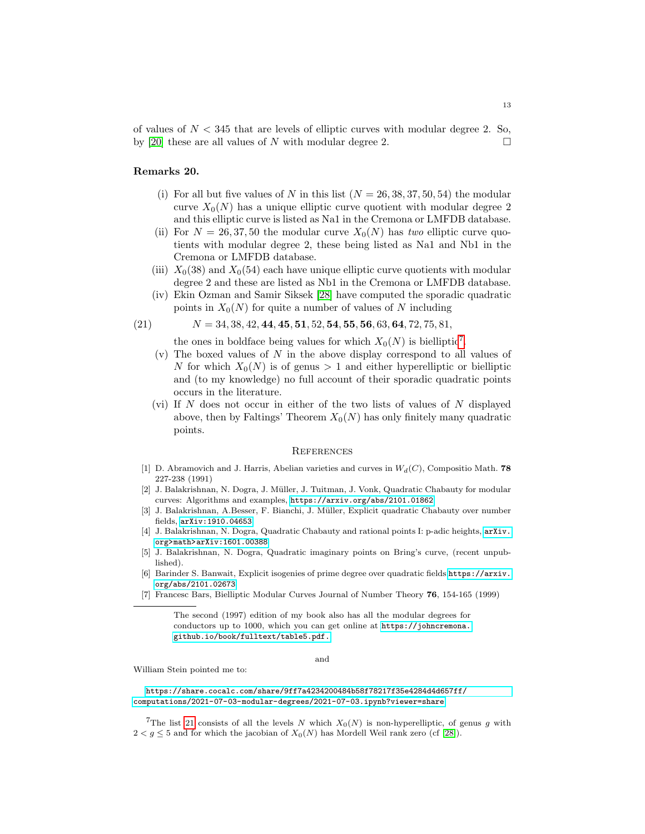of values of  $N < 345$  that are levels of elliptic curves with modular degree 2. So, by [\[20\]](#page-13-1) these are all values of N with modular degree 2.

#### Remarks 20.

- (i) For all but five values of N in this list  $(N = 26, 38, 37, 50, 54)$  the modular curve  $X_0(N)$  has a unique elliptic curve quotient with modular degree 2 and this elliptic curve is listed as Na1 in the Cremona or LMFDB database.
- (ii) For  $N = 26, 37, 50$  the modular curve  $X_0(N)$  has two elliptic curve quotients with modular degree 2, these being listed as Na1 and Nb1 in the Cremona or LMFDB database.
- (iii)  $X_0(38)$  and  $X_0(54)$  each have unique elliptic curve quotients with modular degree 2 and these are listed as Nb1 in the Cremona or LMFDB database.
- (iv) Ekin Ozman and Samir Siksek [\[28\]](#page-13-22) have computed the sporadic quadratic points in  $X_0(N)$  for quite a number of values of N including

$$
(21) \qquad N = 34, 38, 42, 44, 45, 51, 52, 54, 55, 56, 63, 64, 72, 75, 81,
$$

<span id="page-12-7"></span>the ones in boldface being values for which  $X_0(N)$  is bielliptic<sup>[7](#page-12-6)</sup>.

- $(v)$  The boxed values of N in the above display correspond to all values of N for which  $X_0(N)$  is of genus > 1 and either hyperelliptic or bielliptic and (to my knowledge) no full account of their sporadic quadratic points occurs in the literature.
- (vi) If  $N$  does not occur in either of the two lists of values of  $N$  displayed above, then by Faltings' Theorem  $X_0(N)$  has only finitely many quadratic points.

#### <span id="page-12-0"></span>**REFERENCES**

- [1] D. Abramovich and J. Harris, Abelian varieties and curves in  $W_d(C)$ , Compositio Math. 78 227-238 (1991)
- <span id="page-12-1"></span>[2] J. Balakrishnan, N. Dogra, J. Müller, J. Tuitman, J. Vonk, Quadratic Chabauty for modular curves: Algorithms and examples, <https://arxiv.org/abs/2101.01862>
- <span id="page-12-2"></span>[3] J. Balakrishnan, A.Besser, F. Bianchi, J. Müller, Explicit quadratic Chabauty over number fields, <arXiv:1910.04653>
- <span id="page-12-3"></span>[4] J. Balakrishnan, N. Dogra, Quadratic Chabauty and rational points I: p-adic heights, [arXiv.](arXiv.org > math > arXiv:1601.00388) [org>math>arXiv:1601.00388](arXiv.org > math > arXiv:1601.00388)
- [5] J. Balakrishnan, N. Dogra, Quadratic imaginary points on Bring's curve, (recent unpublished).
- <span id="page-12-5"></span>[6] Barinder S. Banwait, Explicit isogenies of prime degree over quadratic fields [https://arxiv.](https://arxiv.org/abs/2101.02673) [org/abs/2101.02673](https://arxiv.org/abs/2101.02673)
- <span id="page-12-4"></span>[7] Francesc Bars, Bielliptic Modular Curves Journal of Number Theory 76, 154-165 (1999)

The second (1997) edition of my book also has all the modular degrees for conductors up to 1000, which you can get online at [https://johncremona.](https://johncremona.github.io/book/fulltext/table5.pdf.) [github.io/book/fulltext/table5.pdf.](https://johncremona.github.io/book/fulltext/table5.pdf.)

and

William Stein pointed me to:

[https://share.cocalc.com/share/9ff7a4234200484b58f78217f35e4284d4d657ff/](https://share.cocalc.com/share/9ff7a4234200484b58f78217f35e4284d4d657ff/computations/2021-07-03-modular-degrees/2021-07-03.ipynb?viewer=share) [computations/2021-07-03-modular-degrees/2021-07-03.ipynb?viewer=share](https://share.cocalc.com/share/9ff7a4234200484b58f78217f35e4284d4d657ff/computations/2021-07-03-modular-degrees/2021-07-03.ipynb?viewer=share)

<span id="page-12-6"></span><sup>7</sup>The list [21](#page-12-7) consists of all the levels N which  $X_0(N)$  is non-hyperelliptic, of genus g with  $2 < g \leq 5$  and for which the jacobian of  $X_0(N)$  has Mordell Weil rank zero (cf [\[28\]](#page-13-22)).